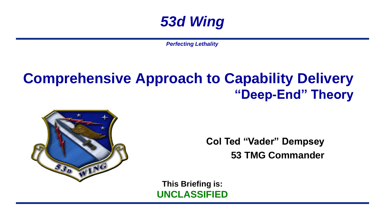

*Perfecting Lethality*

## **Comprehensive Approach to Capability Delivery "Deep-End" Theory**



**Col Ted "Vader" Dempsey 53 TMG Commander**

**This Briefing is: UNCLASSIFIED**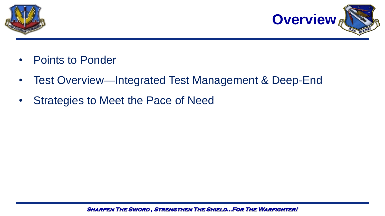



- Points to Ponder
- Test Overview—Integrated Test Management & Deep-End
- Strategies to Meet the Pace of Need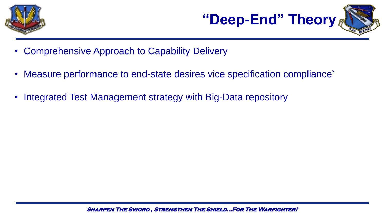



- Comprehensive Approach to Capability Delivery
- Measure performance to end-state desires vice specification compliance<sup>\*</sup>
- Integrated Test Management strategy with Big-Data repository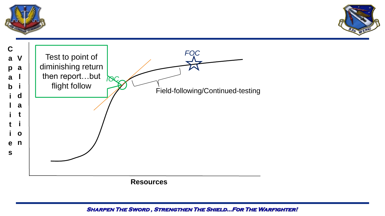



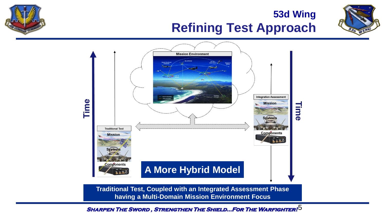

### **53d Wing Refining Test Approach**





**Traditional Test, Coupled with an Integrated Assessment Phase having a Multi-Domain Mission Environment Focus**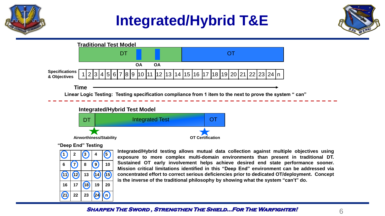

# **Integrated/Hybrid T&E**





**Linear Logic Testing: Testing specification compliance from 1 item to the next to prove the system " can"** 



**"Deep End" Testing**



**Integrated/Hybrid testing allows mutual data collection against multiple objectives using exposure to more complex multi-domain environments than present in traditional DT. Sustained OT early involvement helps achieve desired end state performance sooner. Mission critical limitations identified in this "Deep End" environment can be addressed via concentrated effort to correct serious deficiencies prior to dedicated OT/deployment. Concept is the inverse of the traditional philosophy by showing what the system "can't" do.**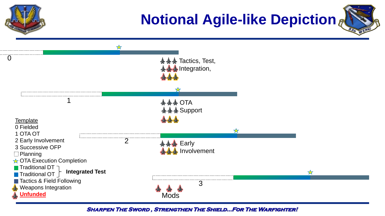